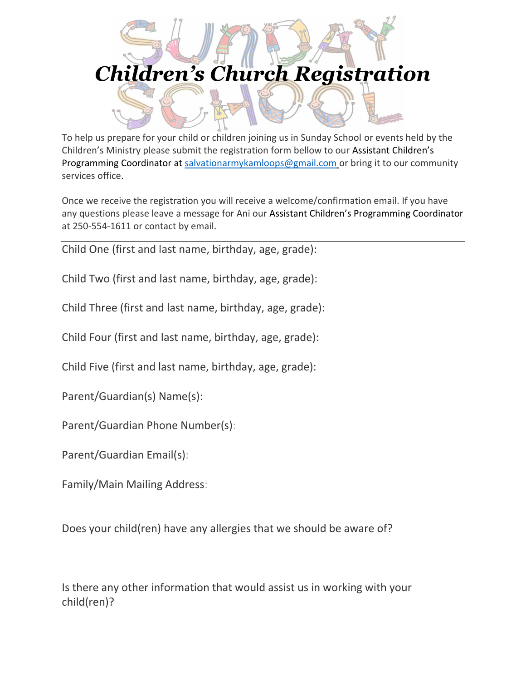## *Children's Church Registration*

To help us prepare for your child or children joining us in Sunday School or events held by the Children's Ministry please submit the registration form bellow to our Assistant Children's Programming Coordinator at [salvationarmykamloops@gmail.com](mailto:salvationarmykamloops@gmail.com) or bring it to our community services office.

Once we receive the registration you will receive a welcome/confirmation email. If you have any questions please leave a message for Ani our Assistant Children's Programming Coordinator at 250-554-1611 or contact by email.

Child One (first and last name, birthday, age, grade):

Child Two (first and last name, birthday, age, grade):

Child Three (first and last name, birthday, age, grade):

Child Four (first and last name, birthday, age, grade):

Child Five (first and last name, birthday, age, grade):

Parent/Guardian(s) Name(s):

Parent/Guardian Phone Number(s):

Parent/Guardian Email(s):

Family/Main Mailing Address:

Does your child(ren) have any allergies that we should be aware of?

Is there any other information that would assist us in working with your child(ren)?